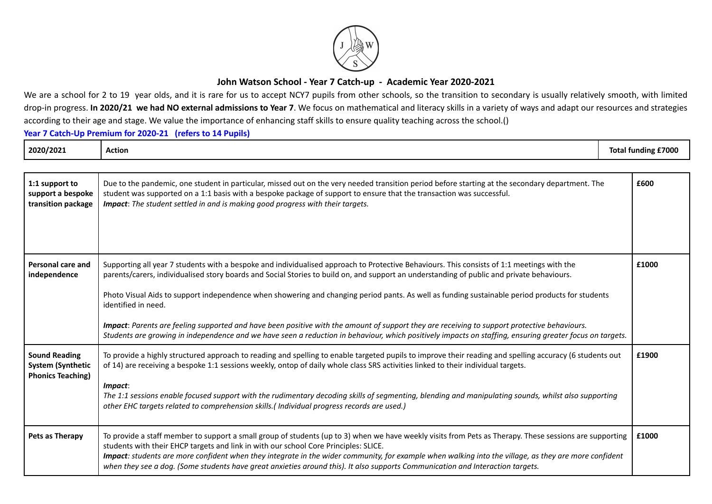

## **John Watson School - Year 7 Catch-up - Academic Year 2020-2021**

We are a school for 2 to 19 year olds, and it is rare for us to accept NCY7 pupils from other schools, so the transition to secondary is usually relatively smooth, with limited drop-in progress. In 2020/21 we had NO external admissions to Year 7. We focus on mathematical and literacy skills in a variety of ways and adapt our resources and strategies according to their age and stage. We value the importance of enhancing staff skills to ensure quality teaching across the school.()

**Year 7 Catch-Up Premium for 2020-21 (refers to 14 Pupils)**

| 2020/2021                                                                    | <b>Action</b>                                                                                                                                                                                                                                                                                                                                                                                                                                                                                                                                                 | <b>Total funding £7000</b> |
|------------------------------------------------------------------------------|---------------------------------------------------------------------------------------------------------------------------------------------------------------------------------------------------------------------------------------------------------------------------------------------------------------------------------------------------------------------------------------------------------------------------------------------------------------------------------------------------------------------------------------------------------------|----------------------------|
|                                                                              |                                                                                                                                                                                                                                                                                                                                                                                                                                                                                                                                                               |                            |
| 1:1 support to<br>support a bespoke<br>transition package                    | Due to the pandemic, one student in particular, missed out on the very needed transition period before starting at the secondary department. The<br>student was supported on a 1:1 basis with a bespoke package of support to ensure that the transaction was successful.<br>Impact: The student settled in and is making good progress with their targets.                                                                                                                                                                                                   | £600                       |
| <b>Personal care and</b><br>independence                                     | Supporting all year 7 students with a bespoke and individualised approach to Protective Behaviours. This consists of 1:1 meetings with the<br>parents/carers, individualised story boards and Social Stories to build on, and support an understanding of public and private behaviours.<br>Photo Visual Aids to support independence when showering and changing period pants. As well as funding sustainable period products for students<br>identified in need.                                                                                            | £1000                      |
|                                                                              | Impact: Parents are feeling supported and have been positive with the amount of support they are receiving to support protective behaviours.<br>Students are growing in independence and we have seen a reduction in behaviour, which positively impacts on staffing, ensuring greater focus on targets.                                                                                                                                                                                                                                                      |                            |
| <b>Sound Reading</b><br><b>System (Synthetic</b><br><b>Phonics Teaching)</b> | To provide a highly structured approach to reading and spelling to enable targeted pupils to improve their reading and spelling accuracy (6 students out<br>of 14) are receiving a bespoke 1:1 sessions weekly, ontop of daily whole class SRS activities linked to their individual targets.<br>Impact:<br>The 1:1 sessions enable focused support with the rudimentary decoding skills of segmenting, blending and manipulating sounds, whilst also supporting<br>other EHC targets related to comprehension skills.(Individual progress records are used.) | £1900                      |
| Pets as Therapy                                                              | To provide a staff member to support a small group of students (up to 3) when we have weekly visits from Pets as Therapy. These sessions are supporting<br>students with their EHCP targets and link in with our school Core Principles: SLICE.<br>Impact: students are more confident when they integrate in the wider community, for example when walking into the village, as they are more confident<br>when they see a dog. (Some students have great anxieties around this). It also supports Communication and Interaction targets.                    | £1000                      |